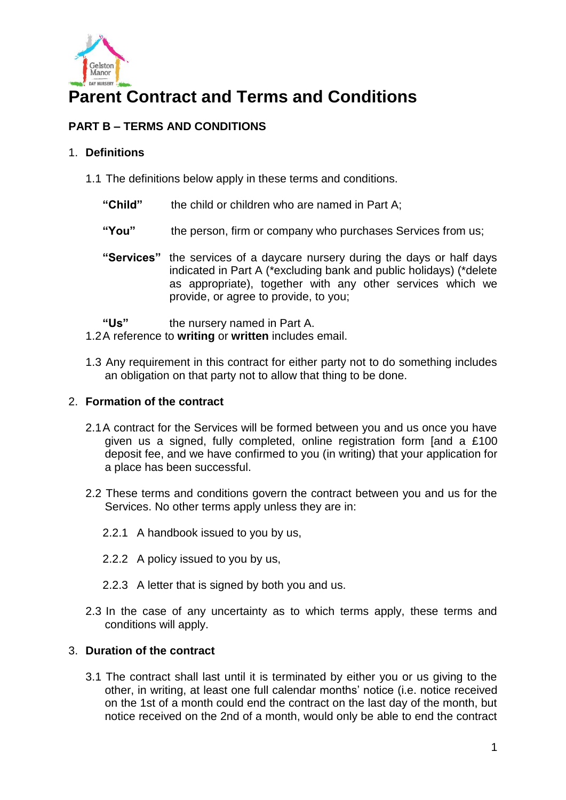

# **Parent Contract and Terms and Conditions**

## **PART B – TERMS AND CONDITIONS**

## 1. **Definitions**

- 1.1 The definitions below apply in these terms and conditions.
	- **"Child"** the child or children who are named in Part A;
	- **"You"** the person, firm or company who purchases Services from us;
	- **"Services"** the services of a daycare nursery during the days or half days indicated in Part A (\*excluding bank and public holidays) (\*delete as appropriate), together with any other services which we provide, or agree to provide, to you;
	- **"Us"** the nursery named in Part A.
- 1.2A reference to **writing** or **written** includes email.
- 1.3 Any requirement in this contract for either party not to do something includes an obligation on that party not to allow that thing to be done.

## 2. **Formation of the contract**

- 2.1A contract for the Services will be formed between you and us once you have given us a signed, fully completed, online registration form [and a £100 deposit fee, and we have confirmed to you (in writing) that your application for a place has been successful.
- 2.2 These terms and conditions govern the contract between you and us for the Services. No other terms apply unless they are in:
	- 2.2.1 A handbook issued to you by us,
	- 2.2.2 A policy issued to you by us,
	- 2.2.3 A letter that is signed by both you and us.
- 2.3 In the case of any uncertainty as to which terms apply, these terms and conditions will apply.

## 3. **Duration of the contract**

3.1 The contract shall last until it is terminated by either you or us giving to the other, in writing, at least one full calendar months' notice (i.e. notice received on the 1st of a month could end the contract on the last day of the month, but notice received on the 2nd of a month, would only be able to end the contract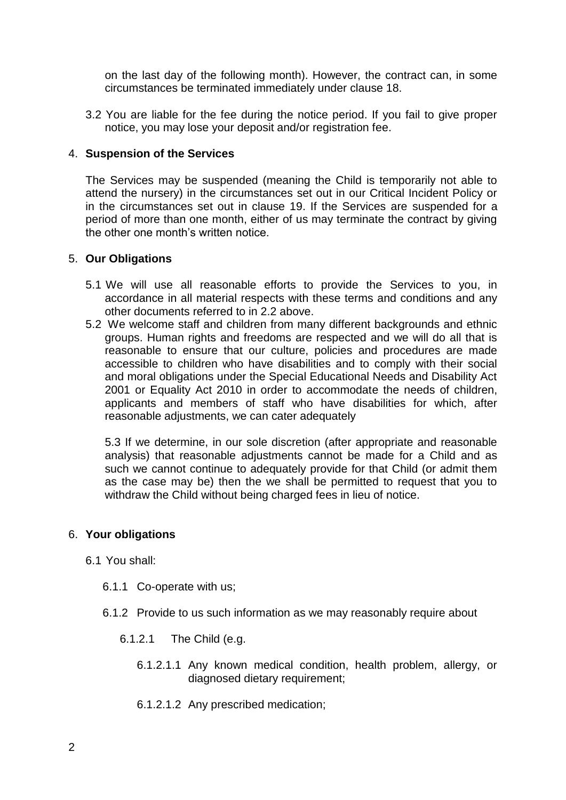on the last day of the following month). However, the contract can, in some circumstances be terminated immediately under clause 18.

3.2 You are liable for the fee during the notice period. If you fail to give proper notice, you may lose your deposit and/or registration fee.

## 4. **Suspension of the Services**

The Services may be suspended (meaning the Child is temporarily not able to attend the nursery) in the circumstances set out in our Critical Incident Policy or in the circumstances set out in clause 19. If the Services are suspended for a period of more than one month, either of us may terminate the contract by giving the other one month's written notice.

## 5. **Our Obligations**

- 5.1 We will use all reasonable efforts to provide the Services to you, in accordance in all material respects with these terms and conditions and any other documents referred to in 2.2 above.
- 5.2 We welcome staff and children from many different backgrounds and ethnic groups. Human rights and freedoms are respected and we will do all that is reasonable to ensure that our culture, policies and procedures are made accessible to children who have disabilities and to comply with their social and moral obligations under the Special Educational Needs and Disability Act 2001 or Equality Act 2010 in order to accommodate the needs of children, applicants and members of staff who have disabilities for which, after reasonable adjustments, we can cater adequately

5.3 If we determine, in our sole discretion (after appropriate and reasonable analysis) that reasonable adjustments cannot be made for a Child and as such we cannot continue to adequately provide for that Child (or admit them as the case may be) then the we shall be permitted to request that you to withdraw the Child without being charged fees in lieu of notice.

## 6. **Your obligations**

- 6.1 You shall:
	- 6.1.1 Co-operate with us;
	- 6.1.2 Provide to us such information as we may reasonably require about
		- 6.1.2.1 The Child (e.g.
			- 6.1.2.1.1 Any known medical condition, health problem, allergy, or diagnosed dietary requirement;
			- 6.1.2.1.2 Any prescribed medication;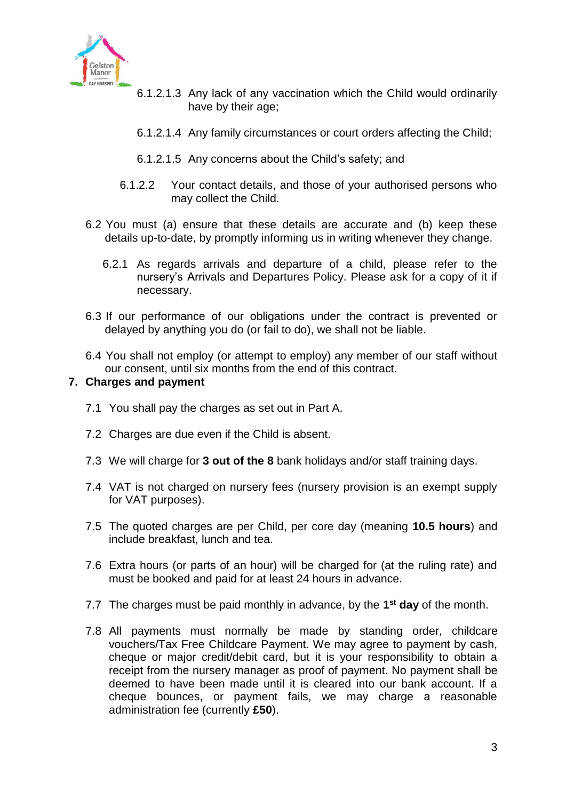

- 6.1.2.1.3 Any lack of any vaccination which the Child would ordinarily have by their age;
- 6.1.2.1.4 Any family circumstances or court orders affecting the Child;
- 6.1.2.1.5 Any concerns about the Child's safety; and
- 6.1.2.2 Your contact details, and those of your authorised persons who may collect the Child.
- 6.2 You must (a) ensure that these details are accurate and (b) keep these details up-to-date, by promptly informing us in writing whenever they change.
	- 6.2.1 As regards arrivals and departure of a child, please refer to the nursery's Arrivals and Departures Policy. Please ask for a copy of it if necessary.
- 6.3 If our performance of our obligations under the contract is prevented or delayed by anything you do (or fail to do), we shall not be liable.
- 6.4 You shall not employ (or attempt to employ) any member of our staff without our consent, until six months from the end of this contract.

## **7. Charges and payment**

- 7.1 You shall pay the charges as set out in Part A.
- 7.2 Charges are due even if the Child is absent.
- 7.3 We will charge for **3 out of the 8** bank holidays and/or staff training days.
- 7.4 VAT is not charged on nursery fees (nursery provision is an exempt supply for VAT purposes).
- 7.5 The quoted charges are per Child, per core day (meaning **10.5 hours**) and include breakfast, lunch and tea.
- 7.6 Extra hours (or parts of an hour) will be charged for (at the ruling rate) and must be booked and paid for at least 24 hours in advance.
- 7.7 The charges must be paid monthly in advance, by the **1 st day** of the month.
- 7.8 All payments must normally be made by standing order, childcare vouchers/Tax Free Childcare Payment. We may agree to payment by cash, cheque or major credit/debit card, but it is your responsibility to obtain a receipt from the nursery manager as proof of payment. No payment shall be deemed to have been made until it is cleared into our bank account. If a cheque bounces, or payment fails, we may charge a reasonable administration fee (currently **£50**).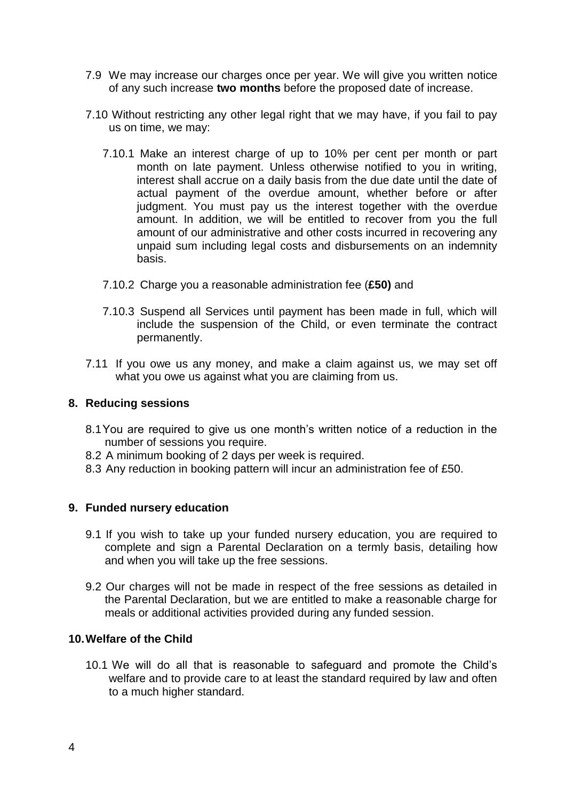- 7.9 We may increase our charges once per year. We will give you written notice of any such increase **two months** before the proposed date of increase.
- 7.10 Without restricting any other legal right that we may have, if you fail to pay us on time, we may:
	- 7.10.1 Make an interest charge of up to 10% per cent per month or part month on late payment. Unless otherwise notified to you in writing, interest shall accrue on a daily basis from the due date until the date of actual payment of the overdue amount, whether before or after judgment. You must pay us the interest together with the overdue amount. In addition, we will be entitled to recover from you the full amount of our administrative and other costs incurred in recovering any unpaid sum including legal costs and disbursements on an indemnity basis.
	- 7.10.2 Charge you a reasonable administration fee (**£50)** and
	- 7.10.3 Suspend all Services until payment has been made in full, which will include the suspension of the Child, or even terminate the contract permanently.
- 7.11 If you owe us any money, and make a claim against us, we may set off what you owe us against what you are claiming from us.

## **8. Reducing sessions**

- 8.1You are required to give us one month's written notice of a reduction in the number of sessions you require.
- 8.2 A minimum booking of 2 days per week is required.
- 8.3 Any reduction in booking pattern will incur an administration fee of £50.

## **9. Funded nursery education**

- 9.1 If you wish to take up your funded nursery education, you are required to complete and sign a Parental Declaration on a termly basis, detailing how and when you will take up the free sessions.
- 9.2 Our charges will not be made in respect of the free sessions as detailed in the Parental Declaration, but we are entitled to make a reasonable charge for meals or additional activities provided during any funded session.

## **10.Welfare of the Child**

10.1 We will do all that is reasonable to safeguard and promote the Child's welfare and to provide care to at least the standard required by law and often to a much higher standard.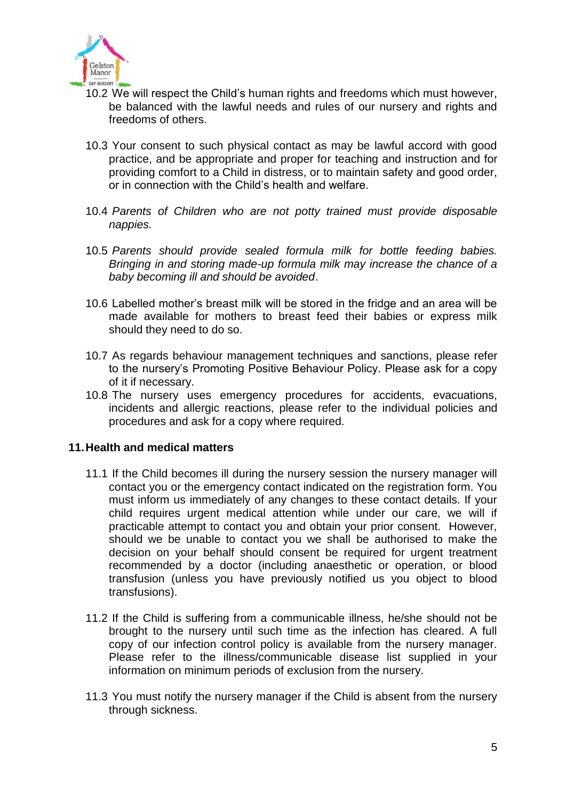

- 10.2 We will respect the Child's human rights and freedoms which must however, be balanced with the lawful needs and rules of our nursery and rights and freedoms of others.
- 10.3 Your consent to such physical contact as may be lawful accord with good practice, and be appropriate and proper for teaching and instruction and for providing comfort to a Child in distress, or to maintain safety and good order, or in connection with the Child's health and welfare.
- 10.4 *Parents of Children who are not potty trained must provide disposable nappies.*
- 10.5 *Parents should provide sealed formula milk for bottle feeding babies. Bringing in and storing made-up formula milk may increase the chance of a baby becoming ill and should be avoided*.
- 10.6 Labelled mother's breast milk will be stored in the fridge and an area will be made available for mothers to breast feed their babies or express milk should they need to do so.
- 10.7 As regards behaviour management techniques and sanctions, please refer to the nursery's Promoting Positive Behaviour Policy. Please ask for a copy of it if necessary.
- 10.8 The nursery uses emergency procedures for accidents, evacuations, incidents and allergic reactions, please refer to the individual policies and procedures and ask for a copy where required.

## **11.Health and medical matters**

- 11.1 If the Child becomes ill during the nursery session the nursery manager will contact you or the emergency contact indicated on the registration form. You must inform us immediately of any changes to these contact details. If your child requires urgent medical attention while under our care, we will if practicable attempt to contact you and obtain your prior consent. However, should we be unable to contact you we shall be authorised to make the decision on your behalf should consent be required for urgent treatment recommended by a doctor (including anaesthetic or operation, or blood transfusion (unless you have previously notified us you object to blood transfusions).
- 11.2 If the Child is suffering from a communicable illness, he/she should not be brought to the nursery until such time as the infection has cleared. A full copy of our infection control policy is available from the nursery manager. Please refer to the illness/communicable disease list supplied in your information on minimum periods of exclusion from the nursery.
- 11.3 You must notify the nursery manager if the Child is absent from the nursery through sickness.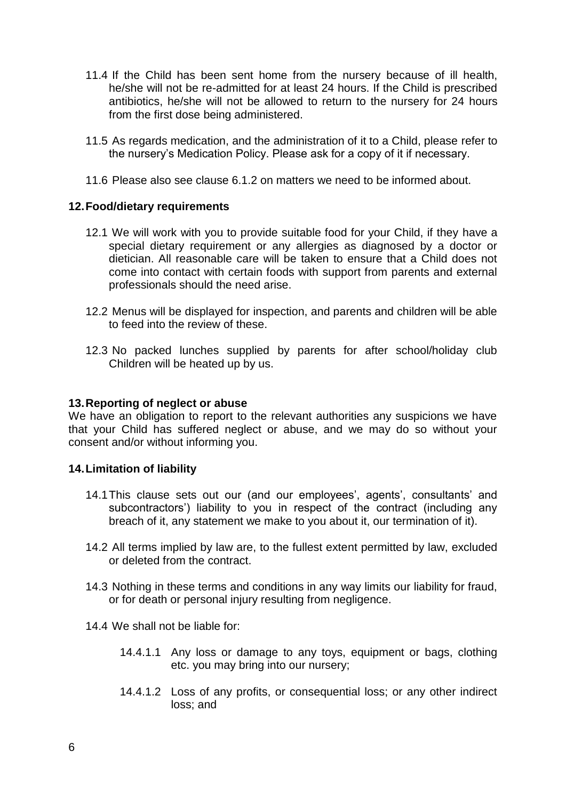- 11.4 If the Child has been sent home from the nursery because of ill health, he/she will not be re-admitted for at least 24 hours. If the Child is prescribed antibiotics, he/she will not be allowed to return to the nursery for 24 hours from the first dose being administered.
- 11.5 As regards medication, and the administration of it to a Child, please refer to the nursery's Medication Policy. Please ask for a copy of it if necessary.
- 11.6 Please also see clause 6.1.2 on matters we need to be informed about.

## **12.Food/dietary requirements**

- 12.1 We will work with you to provide suitable food for your Child, if they have a special dietary requirement or any allergies as diagnosed by a doctor or dietician. All reasonable care will be taken to ensure that a Child does not come into contact with certain foods with support from parents and external professionals should the need arise.
- 12.2 Menus will be displayed for inspection, and parents and children will be able to feed into the review of these.
- 12.3 No packed lunches supplied by parents for after school/holiday club Children will be heated up by us.

#### **13.Reporting of neglect or abuse**

We have an obligation to report to the relevant authorities any suspicions we have that your Child has suffered neglect or abuse, and we may do so without your consent and/or without informing you.

#### **14.Limitation of liability**

- 14.1This clause sets out our (and our employees', agents', consultants' and subcontractors') liability to you in respect of the contract (including any breach of it, any statement we make to you about it, our termination of it).
- 14.2 All terms implied by law are, to the fullest extent permitted by law, excluded or deleted from the contract.
- 14.3 Nothing in these terms and conditions in any way limits our liability for fraud, or for death or personal injury resulting from negligence.

14.4 We shall not be liable for:

- 14.4.1.1 Any loss or damage to any toys, equipment or bags, clothing etc. you may bring into our nursery;
- 14.4.1.2 Loss of any profits, or consequential loss; or any other indirect loss; and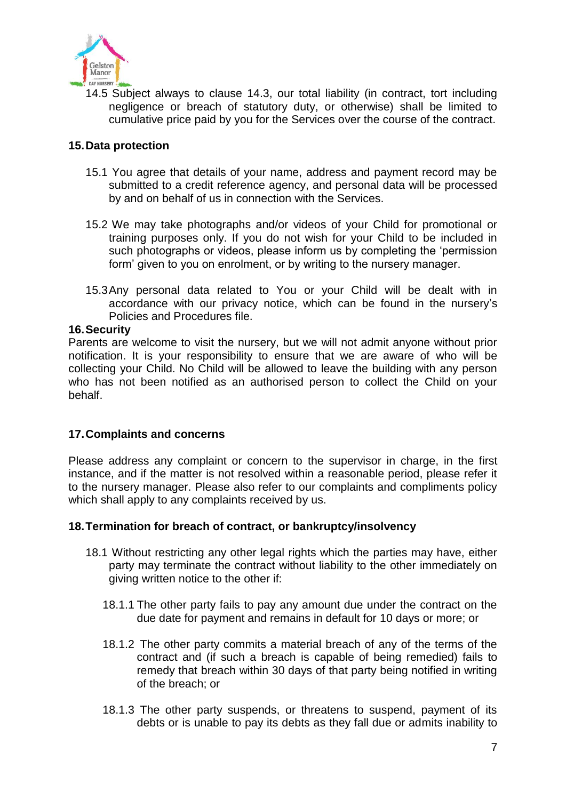

14.5 Subject always to clause 14.3, our total liability (in contract, tort including negligence or breach of statutory duty, or otherwise) shall be limited to cumulative price paid by you for the Services over the course of the contract.

## **15.Data protection**

- 15.1 You agree that details of your name, address and payment record may be submitted to a credit reference agency, and personal data will be processed by and on behalf of us in connection with the Services.
- 15.2 We may take photographs and/or videos of your Child for promotional or training purposes only. If you do not wish for your Child to be included in such photographs or videos, please inform us by completing the 'permission form' given to you on enrolment, or by writing to the nursery manager.
- 15.3Any personal data related to You or your Child will be dealt with in accordance with our privacy notice, which can be found in the nursery's Policies and Procedures file.

#### **16.Security**

Parents are welcome to visit the nursery, but we will not admit anyone without prior notification. It is your responsibility to ensure that we are aware of who will be collecting your Child. No Child will be allowed to leave the building with any person who has not been notified as an authorised person to collect the Child on your behalf.

## **17.Complaints and concerns**

Please address any complaint or concern to the supervisor in charge, in the first instance, and if the matter is not resolved within a reasonable period, please refer it to the nursery manager. Please also refer to our complaints and compliments policy which shall apply to any complaints received by us.

## **18.Termination for breach of contract, or bankruptcy/insolvency**

- 18.1 Without restricting any other legal rights which the parties may have, either party may terminate the contract without liability to the other immediately on giving written notice to the other if:
	- 18.1.1 The other party fails to pay any amount due under the contract on the due date for payment and remains in default for 10 days or more; or
	- 18.1.2 The other party commits a material breach of any of the terms of the contract and (if such a breach is capable of being remedied) fails to remedy that breach within 30 days of that party being notified in writing of the breach; or
	- 18.1.3 The other party suspends, or threatens to suspend, payment of its debts or is unable to pay its debts as they fall due or admits inability to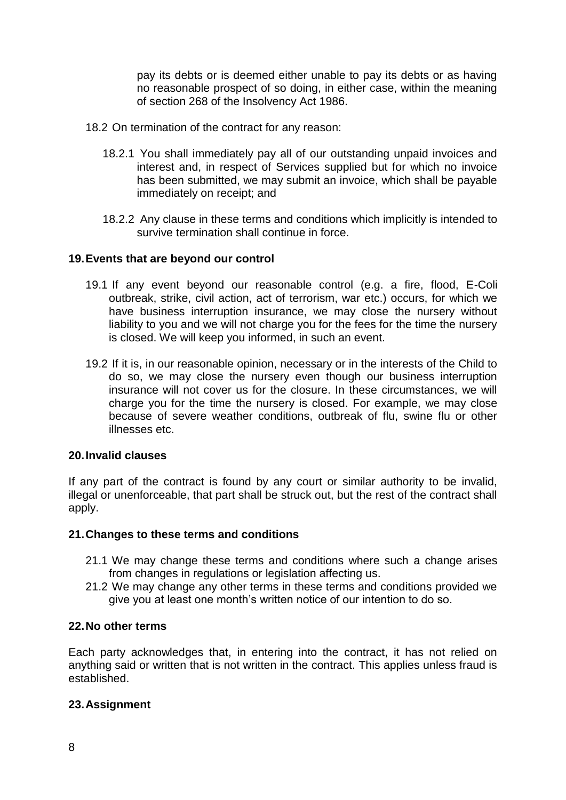pay its debts or is deemed either unable to pay its debts or as having no reasonable prospect of so doing, in either case, within the meaning of section 268 of the Insolvency Act 1986.

- 18.2 On termination of the contract for any reason:
	- 18.2.1 You shall immediately pay all of our outstanding unpaid invoices and interest and, in respect of Services supplied but for which no invoice has been submitted, we may submit an invoice, which shall be payable immediately on receipt; and
	- 18.2.2 Any clause in these terms and conditions which implicitly is intended to survive termination shall continue in force.

#### **19.Events that are beyond our control**

- 19.1 If any event beyond our reasonable control (e.g. a fire, flood, E-Coli outbreak, strike, civil action, act of terrorism, war etc.) occurs, for which we have business interruption insurance, we may close the nursery without liability to you and we will not charge you for the fees for the time the nursery is closed. We will keep you informed, in such an event.
- 19.2 If it is, in our reasonable opinion, necessary or in the interests of the Child to do so, we may close the nursery even though our business interruption insurance will not cover us for the closure. In these circumstances, we will charge you for the time the nursery is closed. For example, we may close because of severe weather conditions, outbreak of flu, swine flu or other illnesses etc.

#### **20.Invalid clauses**

If any part of the contract is found by any court or similar authority to be invalid, illegal or unenforceable, that part shall be struck out, but the rest of the contract shall apply.

#### **21.Changes to these terms and conditions**

- 21.1 We may change these terms and conditions where such a change arises from changes in regulations or legislation affecting us.
- 21.2 We may change any other terms in these terms and conditions provided we give you at least one month's written notice of our intention to do so.

#### **22.No other terms**

Each party acknowledges that, in entering into the contract, it has not relied on anything said or written that is not written in the contract. This applies unless fraud is established.

#### **23.Assignment**